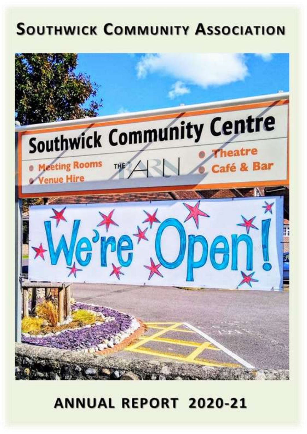# **SOUTHWICK COMMUNITY ASSOCIATION**



## **ANNUAL REPORT 2020-21**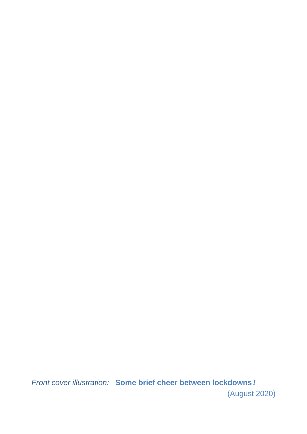*Front cover illustration:* **Some brief cheer between lockdowns** *!* (August 2020)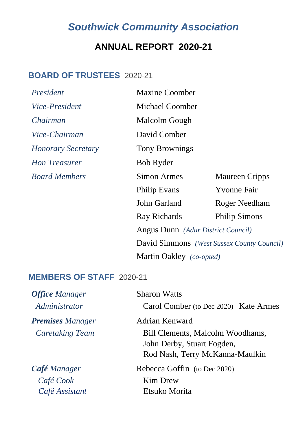## *Southwick Community Association*

### **ANNUAL REPORT 2020-21**

#### **BOARD OF TRUSTEES** 2020-21

| President                 | <b>Maxine Coomber</b>                      |                       |
|---------------------------|--------------------------------------------|-----------------------|
| <i>Vice-President</i>     | Michael Coomber                            |                       |
| Chairman                  | Malcolm Gough                              |                       |
| Vice-Chairman             | David Comber                               |                       |
| <b>Honorary Secretary</b> | <b>Tony Brownings</b>                      |                       |
| <b>Hon Treasurer</b>      | Bob Ryder                                  |                       |
| <b>Board Members</b>      | Simon Armes                                | <b>Maureen Cripps</b> |
|                           | <b>Philip Evans</b>                        | <b>Yvonne Fair</b>    |
|                           | John Garland                               | Roger Needham         |
|                           | Ray Richards                               | <b>Philip Simons</b>  |
|                           | Angus Dunn (Adur District Council)         |                       |
|                           | David Simmons (West Sussex County Council) |                       |
|                           | Martin Oakley (co-opted)                   |                       |

#### **MEMBERS OF STAFF** 2020-21

| <b>Office Manager</b><br>Administrator | <b>Sharon Watts</b><br>Carol Comber (to Dec 2020) Kate Armes                                      |  |
|----------------------------------------|---------------------------------------------------------------------------------------------------|--|
| <b>Premises</b> Manager                | Adrian Kenward                                                                                    |  |
| <b>Caretaking Team</b>                 | Bill Clements, Malcolm Woodhams,<br>John Derby, Stuart Fogden,<br>Rod Nash, Terry McKanna-Maulkin |  |
| <b>Café</b> Manager                    | Rebecca Goffin (to Dec 2020)                                                                      |  |
| Café Cook                              | Kim Drew                                                                                          |  |
| Café Assistant                         | Etsuko Morita                                                                                     |  |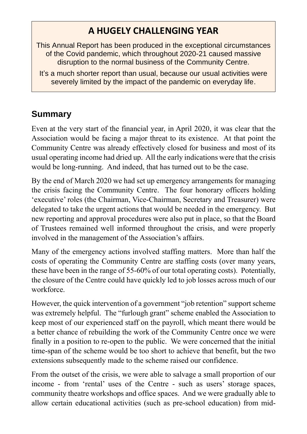## **A HUGELY CHALLENGING YEAR**

- This Annual Report has been produced in the exceptional circumstances of the Covid pandemic, which throughout 2020-21 caused massive disruption to the normal business of the Community Centre.
	- It's a much shorter report than usual, because our usual activities were severely limited by the impact of the pandemic on everyday life.

## **Summary**

Even at the very start of the financial year, in April 2020, it was clear that the Association would be facing a major threat to its existence. At that point the Community Centre was already effectively closed for business and most of its usual operating income had dried up. All the early indications were that the crisis would be long-running. And indeed, that has turned out to be the case.

By the end of March 2020 we had set up emergency arrangements for managing the crisis facing the Community Centre. The four honorary officers holding 'executive' roles (the Chairman, Vice-Chairman, Secretary and Treasurer) were delegated to take the urgent actions that would be needed in the emergency. But new reporting and approval procedures were also put in place, so that the Board of Trustees remained well informed throughout the crisis, and were properly involved in the management of the Association's affairs.

Many of the emergency actions involved staffing matters. More than half the costs of operating the Community Centre are staffing costs (over many years, these have been in the range of 55-60% of our total operating costs). Potentially, the closure of the Centre could have quickly led to job losses across much of our workforce.

However, the quick intervention of a government "job retention" support scheme was extremely helpful. The "furlough grant" scheme enabled the Association to keep most of our experienced staff on the payroll, which meant there would be a better chance of rebuilding the work of the Community Centre once we were finally in a position to re-open to the public. We were concerned that the initial time-span of the scheme would be too short to achieve that benefit, but the two extensions subsequently made to the scheme raised our confidence.

From the outset of the crisis, we were able to salvage a small proportion of our income - from 'rental' uses of the Centre - such as users' storage spaces, community theatre workshops and office spaces. And we were gradually able to allow certain educational activities (such as pre-school education) from mid-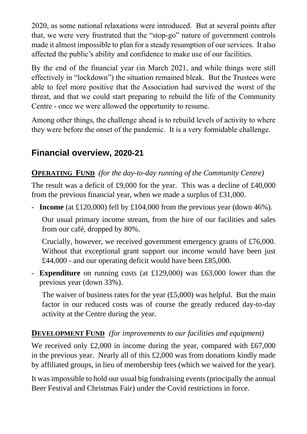2020, as some national relaxations were introduced. But at several points after that, we were very frustrated that the "stop-go" nature of government controls made it almost impossible to plan for a steady resumption of our services. It also affected the public's ability and confidence to make use of our facilities.

By the end of the financial year (in March 2021, and while things were still effectively in "lockdown") the situation remained bleak. But the Trustees were able to feel more positive that the Association had survived the worst of the threat, and that we could start preparing to rebuild the life of the Community Centre - once we were allowed the opportunity to resume.

Among other things, the challenge ahead is to rebuild levels of activity to where they were before the onset of the pandemic. It is a very formidable challenge.

### **Financial overview, 2020-21**

#### **OPERATING FUND** *(for the day-to-day running of the Community Centre)*

The result was a deficit of £9,000 for the year. This was a decline of £40,000 from the previous financial year, when we made a surplus of £31,000.

- **Income** (at £120,000) fell by £104,000 from the previous year (down 46%).

Our usual primary income stream, from the hire of our facilities and sales from our café, dropped by 80%.

Crucially, however, we received government emergency grants of £76,000. Without that exceptional grant support our income would have been just £44,000 - and our operating deficit would have been £85,000.

- **Expenditure** on running costs (at £129,000) was £63,000 lower than the previous year (down 33%).

The waiver of business rates for the year  $(f5,000)$  was helpful. But the main factor in our reduced costs was of course the greatly reduced day-to-day activity at the Centre during the year.

#### **DEVELOPMENT FUND** *(for improvements to our facilities and equipment)*

We received only £2,000 in income during the year, compared with £67,000 in the previous year. Nearly all of this  $£2,000$  was from donations kindly made by affiliated groups, in lieu of membership fees (which we waived for the year).

It was impossible to hold our usual big fundraising events (principally the annual Beer Festival and Christmas Fair) under the Covid restrictions in force.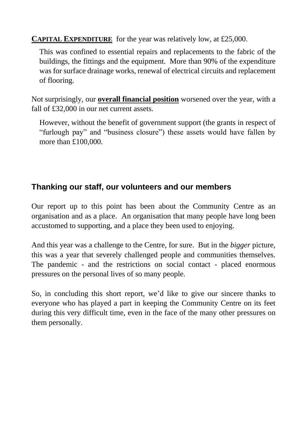**CAPITAL EXPENDITURE** for the year was relatively low, at £25,000.

This was confined to essential repairs and replacements to the fabric of the buildings, the fittings and the equipment. More than 90% of the expenditure was for surface drainage works, renewal of electrical circuits and replacement of flooring.

Not surprisingly, our **overall financial position** worsened over the year, with a fall of £32,000 in our net current assets.

However, without the benefit of government support (the grants in respect of "furlough pay" and "business closure") these assets would have fallen by more than £100,000.

#### **Thanking our staff, our volunteers and our members**

Our report up to this point has been about the Community Centre as an organisation and as a place. An organisation that many people have long been accustomed to supporting, and a place they been used to enjoying.

And this year was a challenge to the Centre, for sure. But in the *bigger* picture, this was a year that severely challenged people and communities themselves. The pandemic - and the restrictions on social contact - placed enormous pressures on the personal lives of so many people.

So, in concluding this short report, we'd like to give our sincere thanks to everyone who has played a part in keeping the Community Centre on its feet during this very difficult time, even in the face of the many other pressures on them personally.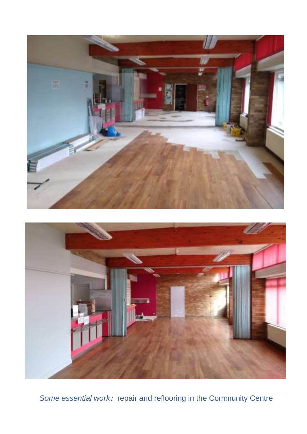



*Some essential work:* repair and reflooring in the Community Centre